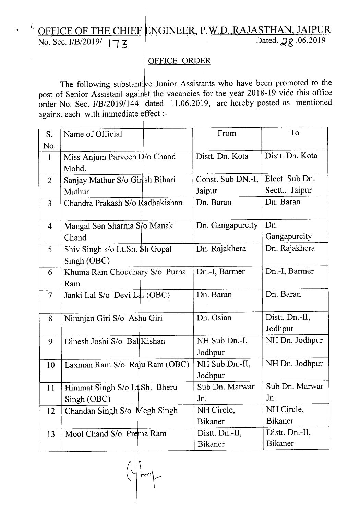## <sup>3</sup> CFFICE OF THE CHIEF ENGINEER, P.W.D.,RAJASTHAN, JAIPUR<br>No. Sec. I/B/2019/  $172$ No. Sec. *I/B/2019*/ **173**

## OFFICE ORDER

The following substantive Junior Assistants who have been promoted to the post of Senior Assistant against the vacancies for the year 2018-19 vide this office order No. Sec. *IIB12019/144* dated 11.06.2019, are hereby posted as mentioned against each with immediate effect :-

| S.                       | Name of Official                | From              | To              |
|--------------------------|---------------------------------|-------------------|-----------------|
| No.                      |                                 |                   |                 |
| $\mathbf{1}$             | Miss Anjum Parveen D/o Chand    | Distt. Dn. Kota   | Distt. Dn. Kota |
|                          | Mohd.                           |                   |                 |
| $\overline{2}$           | Sanjay Mathur S/o Girish Bihari | Const. Sub DN.-I, | Elect. Sub Dn.  |
|                          | Mathur                          | Jaipur            | Sectt., Jaipur  |
| 3                        | Chandra Prakash S/o Radhakishan | Dn. Baran         | Dn. Baran       |
| $\overline{4}$           | Mangal Sen Sharma S/o Manak     | Dn. Gangapurcity  | Dn.             |
|                          | Chand                           |                   | Gangapurcity    |
| 5                        | Shiv Singh s/o Lt.Sh. \$h Gopal | Dn. Rajakhera     | Dn. Rajakhera   |
|                          | Singh (OBC)                     |                   |                 |
| 6                        | Khuma Ram Choudhary S/o Purna   | Dn.-I, Barmer     | Dn.-I, Barmer   |
|                          | Ram                             |                   |                 |
| $\overline{\mathcal{L}}$ | Janki Lal S/o Devi Lal (OBC)    | Dn. Baran         | Dn. Baran       |
|                          |                                 |                   |                 |
| 8                        | Niranjan Giri S/o Ashu Giri     | Dn. Osian         | Distt. Dn.-II,  |
|                          |                                 |                   | Jodhpur         |
| 9                        | Dinesh Joshi S/o Bal Kishan     | NH Sub Dn.-I,     | NH Dn. Jodhpur  |
|                          |                                 | Jodhpur           |                 |
| 10                       | Laxman Ram S/o Raju Ram (OBC)   | NH Sub Dn.-II,    | NH Dn. Jodhpur  |
|                          |                                 | Jodhpur           |                 |
| 11                       | Himmat Singh S/o Lt.Sh. Bheru   | Sub Dn. Marwar    | Sub Dn. Marwar  |
|                          | Singh (OBC)                     | Jn.               | Jn.             |
| 12                       | Chandan Singh S/o Megh Singh    | NH Circle,        | NH Circle,      |
|                          |                                 | <b>Bikaner</b>    | <b>Bikaner</b>  |
| 13                       | Mool Chand S/o Prema Ram        | Distt. Dn.-II,    | Distt. Dn.-II,  |
|                          |                                 | Bikaner           | <b>Bikaner</b>  |

 $\frac{1}{2}$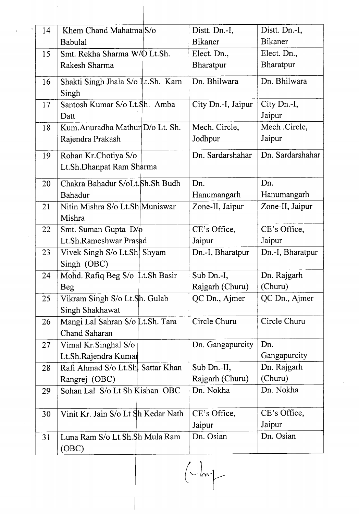| 14 | Khem Chand Mahatma S/o                            | Distt. Dn.-I,      | Distt. Dn.-I,         |
|----|---------------------------------------------------|--------------------|-----------------------|
|    | Babulal                                           | <b>Bikaner</b>     | <b>Bikaner</b>        |
| 15 | Smt. Rekha Sharma W/O Lt.Sh.                      | Elect. Dn.,        | Elect. Dn.,           |
|    | Rakesh Sharma                                     | Bharatpur          | Bharatpur             |
| 16 | Shakti Singh Jhala S/o Lt.Sh. Karn<br>Singh       | Dn. Bhilwara       | Dn. Bhilwara          |
| 17 | Santosh Kumar S/o Lt. Sh. Amba<br>Datt            | City Dn.-I, Jaipur | City Dn.-I,<br>Jaipur |
| 18 | Kum.Anuradha Mathur D/o Lt. Sh.                   | Mech. Circle,      | Mech .Circle,         |
|    | Rajendra Prakash                                  | Jodhpur            | Jaipur                |
| 19 | Rohan Kr.Chotiya S/o<br>Lt.Sh.Dhanpat Ram Sharma  | Dn. Sardarshahar   | Dn. Sardarshahar      |
| 20 | Chakra Bahadur S/oLt.Sh.Sh Budh                   | Dn.                | Dn.                   |
|    | Bahadur                                           | Hanumangarh        | Hanumangarh           |
| 21 | Nitin Mishra S/o Lt.Sh Muniswar<br>Mishra         | Zone-II, Jaipur    | Zone-II, Jaipur       |
| 22 | Smt. Suman Gupta $D/\phi$                         | CE's Office,       | CE's Office,          |
|    | Lt.Sh.Rameshwar Prasad                            | Jaipur             | Jaipur                |
| 23 | Vivek Singh S/o Lt.Sh. Shyam<br>Singh (OBC)       | Dn.-I, Bharatpur   | Dn.-I, Bharatpur      |
| 24 | Mohd. Rafiq Beg S/o Lt.Sh Basir                   | Sub Dn.-I,         | Dn. Rajgarh           |
|    | <b>Beg</b>                                        | Rajgarh (Churu)    | (Churu)               |
| 25 | Vikram Singh S/o Lt.Sh. Gulab<br>Singh Shakhawat  | QC Dn., Ajmer      | QC Dn., Ajmer         |
| 26 | Mangi Lal Sahran S/o Lt.Sh. Tara<br>Chand Saharan | Circle Churu       | Circle Churu          |
| 27 | Vimal Kr.Singhal S/o<br>Lt.Sh.Rajendra Kumar      | Dn. Gangapurcity   | Dn.<br>Gangapurcity   |
| 28 | Rafi Ahmad S/o Lt.Sh. Sattar Khan                 | Sub Dn.-II,        | Dn. Rajgarh           |
|    | Rangrej (OBC)                                     | Rajgarh (Churu)    | (Churu)               |
| 29 | Sohan Lal S/o Lt Sh Kishan OBC                    | Dn. Nokha          | Dn. Nokha             |
|    |                                                   |                    |                       |
| 30 | Vinit Kr. Jain S/o Lt Sh Kedar Nath               | CE's Office,       | CE's Office,          |
|    |                                                   | Jaipur             | Jaipur                |
| 31 | Luna Ram S/o Lt.Sh.Sh Mula Ram<br>(OBC)           | Dn. Osian          | Dn. Osian             |
|    |                                                   |                    |                       |

 $\sim$ 

 $\left(\frac{1}{2}\right)$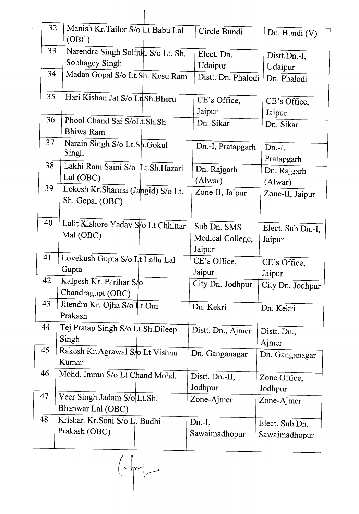| 32 |                                                      |                                           |                                 |
|----|------------------------------------------------------|-------------------------------------------|---------------------------------|
|    | Manish Kr. Tailor S/o Lt Babu Lal<br>(OBC)           | Circle Bundi                              | Dn. Bundi (V)                   |
| 33 | Narendra Singh Solinki S/o Lt. Sh.                   | Elect. Dn.                                | Distt.Dn.-I,                    |
|    | Sobhagey Singh                                       | Udaipur                                   | Udaipur                         |
| 34 | Madan Gopal S/o Lt.Sh. Kesu Ram                      | Distt. Dn. Phalodi                        | Dn. Phalodi                     |
| 35 | Hari Kishan Jat S/o Lt Sh. Bheru                     | CE's Office,                              | CE's Office,                    |
|    |                                                      | Jaipur                                    | Jaipur                          |
| 36 | Phool Chand Sai S/oLt.Sh.Sh<br>Bhiwa Ram             | Dn. Sikar                                 | Dn. Sikar                       |
| 37 | Narain Singh S/o Lt.Sh.Gokul<br>Singh                | Dn.-I, Pratapgarh                         | $Dn.-I,$<br>Pratapgarh          |
| 38 | Lakhi Ram Saini S/o Lt.Sh.Hazari                     | Dn. Rajgarh                               | Dn. Rajgarh                     |
|    | Lal (OBC)                                            | (Alwar)                                   | (Alwar)                         |
| 39 | Lokesh Kr.Sharma (Jangid) S/o Lt.<br>Sh. Gopal (OBC) | Zone-II, Jaipur                           | Zone-II, Jaipur                 |
| 40 | Lalit Kishore Yadav S/o Lt Chhittar<br>Mal (OBC)     | Sub Dn. SMS<br>Medical College,<br>Jaipur | Elect. Sub Dn.-I,<br>Jaipur     |
| 41 | Lovekush Gupta S/o L t Lallu Lal<br>Gupta            | CE's Office,<br>Jaipur                    | CE's Office,<br>Jaipur          |
| 42 | Kalpesh Kr. Parihar S/o<br>Chandragupt (OBC)         | City Dn. Jodhpur                          | City Dn. Jodhpur                |
| 43 | Jitendra Kr. Ojha S/o Lt Om<br>Prakash               | Dn. Kekri                                 | Dn. Kekri                       |
| 44 | Tej Pratap Singh S/o Lt.Sh.Dileep<br>Singh           | Distt. Dn., Ajmer                         | Distt. Dn.,<br>Ajmer            |
| 45 | Rakesh Kr.Agrawal S/o Lt Vishnu<br>Kumar             | Dn. Ganganagar                            | Dn. Ganganagar                  |
| 46 | Mohd. Imran S/o Lt Chand Mohd.                       | Distt. Dn.-II,<br>Jodhpur                 | Zone Office,<br>Jodhpur         |
| 47 | Veer Singh Jadam S/o Lt.Sh.<br>Bhanwar Lal (OBC)     | Zone-Ajmer                                | Zone-Ajmer                      |
| 48 | Krishan Kr.Soni S/o Lt Budhi<br>Prakash (OBC)        | $Dn.-I,$<br>Sawaimadhopur                 | Elect. Sub Dn.<br>Sawaimadhopur |
|    |                                                      |                                           |                                 |

 $\left(\frac{1}{2}\right)$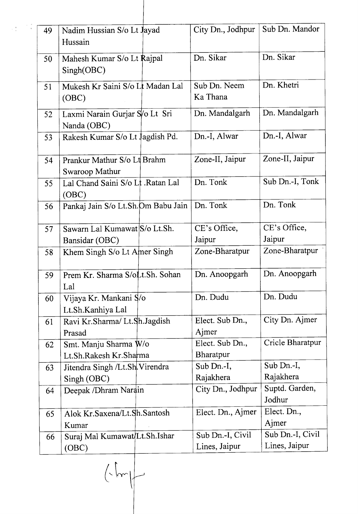| 49 | Nadim Hussian S/o Lt Jayad<br>Hussain           | City Dn., Jodhpur                 | Sub Dn. Mandor                    |
|----|-------------------------------------------------|-----------------------------------|-----------------------------------|
| 50 | Mahesh Kumar S/o Lt Rajpal<br>Singh(OBC)        | Dn. Sikar                         | Dn. Sikar                         |
| 51 | Mukesh Kr Saini S/o Lt Madan Lal<br>(OBC)       | Sub Dn. Neem<br>Ka Thana          | Dn. Khetri                        |
| 52 | Laxmi Narain Gurjar S/o Lt Sri<br>Nanda (OBC)   | Dn. Mandalgarh                    | Dn. Mandalgarh                    |
| 53 | Rakesh Kumar S/o Lt Jagdish Pd.                 | Dn.-I, Alwar                      | Dn.-I, Alwar                      |
| 54 | Prankur Mathur S/o Lt Brahm<br>Swaroop Mathur   | Zone-II, Jaipur                   | Zone-II, Jaipur                   |
| 55 | Lal Chand Saini S/o Lt .Ratan Lal<br>(OBC)      | Dn. Tonk                          | Sub Dn.-I, Tonk                   |
| 56 | Pankaj Jain S/o Lt.Sh.Om Babu Jain              | Dn. Tonk                          | Dn. Tonk                          |
| 57 | Sawarn Lal Kumawat S/o Lt.Sh.<br>Bansidar (OBC) | CE's Office,<br>Jaipur            | CE's Office,<br>Jaipur            |
| 58 | Khem Singh S/o Lt Amer Singh                    | Zone-Bharatpur                    | Zone-Bharatpur                    |
| 59 | Prem Kr. Sharma S/oLt.Sh. Sohan<br>Lal          | Dn. Anoopgarh                     | Dn. Anoopgarh                     |
| 60 | Vijaya Kr. Mankani S/o<br>Lt.Sh.Kanhiya Lal     | Dn. Dudu                          | Dn. Dudu                          |
| 61 | Ravi Kr.Sharma/ Lt.Sh.Jagdish<br>Prasad         | Elect. Sub Dn.,<br>Ajmer          | City Dn. Ajmer                    |
| 62 | Smt. Manju Sharma W/o<br>Lt.Sh.Rakesh Kr.Sharma | Elect. Sub Dn.,<br>Bharatpur      | Cricle Bharatpur                  |
| 63 | Jitendra Singh /Lt.Sh. Virendra<br>Singh (OBC)  | Sub Dn.-I,<br>Rajakhera           | Sub Dn.-I,<br>Rajakhera           |
| 64 | Deepak / Dhram Narain                           | City Dn., Jodhpur                 | Suptd. Garden,<br>Jodhur          |
| 65 | Alok Kr.Saxena/Lt.Sh.Santosh<br>Kumar           | Elect. Dn., Ajmer                 | Elect. Dn.,<br>Ajmer              |
| 66 | Suraj Mal Kumawat/Lt.Sh.Ishar<br>(OBC)          | Sub Dn.-I, Civil<br>Lines, Jaipur | Sub Dn.-I, Civil<br>Lines, Jaipur |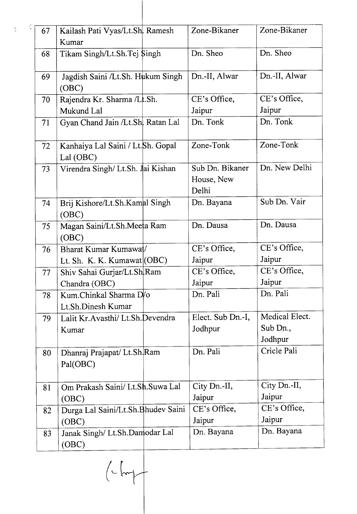| 67 | Kailash Pati Vyas/Lt.Sh. Ramesh<br>Kumar       | Zone-Bikaner                           | Zone-Bikaner   |
|----|------------------------------------------------|----------------------------------------|----------------|
| 68 | Tikam Singh/Lt.Sh.Tej Singh                    | Dn. Sheo                               | Dn. Sheo       |
| 69 | Jagdish Saini /Lt.Sh. Hukum Singh<br>(OBC)     | Dn.-II, Alwar                          | Dn.-II, Alwar  |
| 70 | Rajendra Kr. Sharma /Lt.Sh.                    | CE's Office,                           | CE's Office,   |
|    | Mukund Lal                                     | Jaipur                                 | Jaipur         |
| 71 | Gyan Chand Jain /Lt.Sh  Ratan Lal              | Dn. Tonk                               | Dn. Tonk       |
| 72 | Kanhaiya Lal Saini / Lt.Sh. Gopal<br>Lal (OBC) | Zone-Tonk                              | Zone-Tonk      |
| 73 | Virendra Singh/ Lt.Sh. Jai Kishan              | Sub Dn. Bikaner<br>House, New<br>Delhi | Dn. New Delhi  |
| 74 | Brij Kishore/Lt.Sh.Kamal Singh<br>(OBC)        | Dn. Bayana                             | Sub Dn. Vair   |
| 75 | Magan Saini/Lt.Sh.Meeta Ram<br>(OBC)           | Dn. Dausa                              | Dn. Dausa      |
| 76 | Bharat Kumar Kumawat/                          | CE's Office,                           | CE's Office,   |
|    | Lt. Sh. K. K. Kumawat (OBC)                    | Jaipur                                 | Jaipur         |
| 77 | Shiv Sahai Gurjar/Lt.Sh Ram                    | CE's Office,                           | CE's Office,   |
|    | Chandra (OBC)                                  | Jaipur                                 | Jaipur         |
| 78 | Kum.Chinkal Sharma D/o<br>Lt.Sh.Dinesh Kumar   | Dn. Pali                               | Dn. Pali       |
| 79 | Lalit Kr.Avasthi/ Lt.Sh.Devendra               | Elect. Sub Dn.-I,                      | Medical Elect. |
|    | Kumar                                          | Jodhpur                                | Sub Dn.,       |
|    |                                                |                                        | Jodhpur        |
| 80 | Dhanraj Prajapat/ Lt.Sh Ram<br>Pal(OBC)        | Dn. Pali                               | Cricle Pali    |
| 81 | Om Prakash Saini/ Lt.Sh.Suwa Lal               | City Dn.-II,                           | City Dn.-II,   |
|    | (OBC)                                          | Jaipur                                 | Jaipur         |
| 82 | Durga Lal Saini/Lt.Sh.Bhudev Saini             | CE's Office,                           | CE's Office,   |
|    | (OBC)                                          | Jaipur                                 | Jaipur         |
| 83 | Janak Singh/ Lt.Sh.Damodar Lal<br>(OBC)        | Dn. Bayana                             | Dn. Bayana     |

*(-h-r~*

 $\frac{1}{2}$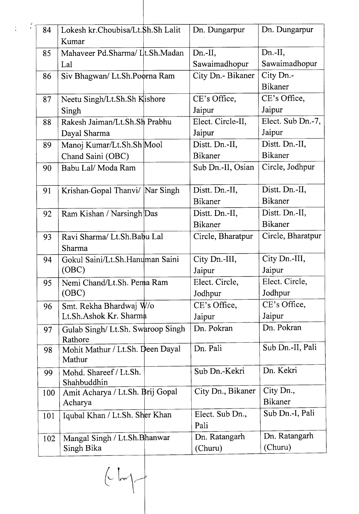| 84  | Lokesh kr.Choubisa/Lt.Sh.Sh Lalit            | Dn. Dungarpur           | Dn. Dungarpur               |
|-----|----------------------------------------------|-------------------------|-----------------------------|
| 85  | Kumar<br>Mahaveer Pd.Sharma/ Lt.Sh.Madan     | Dn.-II,                 | $Dn.-II,$                   |
|     | Lal                                          | Sawaimadhopur           | Sawaimadhopur               |
| 86  | Siv Bhagwan/ Lt.Sh.Poorna Ram                | City Dn.- Bikaner       | City Dn.-                   |
|     |                                              |                         | <b>Bikaner</b>              |
| 87  | Neetu Singh/Lt.Sh.Sh Kishore                 | CE's Office,            | CE's Office,                |
|     | Singh                                        | Jaipur                  | Jaipur                      |
| 88  | Rakesh Jaiman/Lt.Sh.Sh Prabhu                | Elect. Circle-II,       | Elect. Sub Dn.-7,           |
|     | Dayal Sharma                                 | Jaipur                  | Jaipur                      |
| 89  | Manoj Kumar/Lt.Sh.Sh Mool                    | Distt. Dn.-II,          | Distt. Dn.-II,              |
|     | Chand Saini (OBC)                            | Bikaner                 | <b>Bikaner</b>              |
| 90  | Babu Lal/ Moda Ram                           | Sub Dn.-II, Osian       | Circle, Jodhpur             |
| 91  | Krishan-Gopal Thanvi/ Nar Singh              | Distt. Dn.-II,          | Distt. Dn.-II,              |
|     |                                              | <b>Bikaner</b>          | <b>Bikaner</b>              |
| 92  | Ram Kishan / Narsingh Das                    | Distt. Dn.-II,          | Distt. Dn.-II,              |
|     |                                              | <b>Bikaner</b>          | <b>Bikaner</b>              |
| 93  | Ravi Sharma/ Lt.Sh.Babu Lal<br>Sharma        | Circle, Bharatpur       | Circle, Bharatpur           |
| 94  | Gokul Saini/Lt.Sh.Hanuman Saini              | City Dn.-III,           | City Dn.-III,               |
|     | (OBC)                                        | Jaipur                  | Jaipur                      |
| 95  | Nemi Chand/Lt.Sh. Pema Ram                   | Elect. Circle,          | Elect. Circle,              |
|     | (OBC)                                        | Jodhpur                 | Jodhpur                     |
| 96  | Smt. Rekha Bhardwaj W/o                      | CE's Office,            | CE's Office,                |
|     | Lt.Sh.Ashok Kr. Sharma                       | Jaipur                  | Jaipur                      |
| 97  | Gulab Singh/ Lt.Sh. Swaroop Singh<br>Rathore | Dn. Pokran              | Dn. Pokran                  |
| 98  | Mohit Mathur / Lt.Sh. Deen Dayal<br>Mathur   | Dn. Pali                | Sub Dn.-II, Pali            |
| 99  | Mohd. Shareef / Lt.Sh.<br>Shahbuddhin        | Sub Dn.-Kekri           | Dn. Kekri                   |
| 100 | Amit Acharya / Lt.Sh. Brij Gopal<br>Acharya  | City Dn., Bikaner       | City Dn.,<br><b>Bikaner</b> |
| 101 | Iqubal Khan / Lt.Sh. Sher Khan               | Elect. Sub Dn.,<br>Pali | Sub Dn.-I, Pali             |
| 102 | Mangal Singh / Lt.Sh.Bhanwar                 | Dn. Ratangarh           | Dn. Ratangarh               |
|     | Singh Bika                                   | (Churu)                 | (Churu)                     |
|     |                                              |                         |                             |

 $($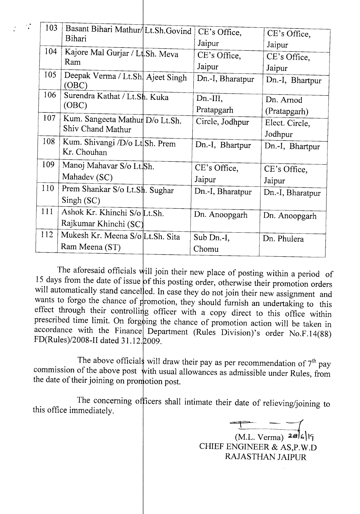| 103 | Basant Bihari Mathur/Lt.Sh.Govind             | CE's Office,     | CE's Office,     |
|-----|-----------------------------------------------|------------------|------------------|
|     | Bihari                                        | Jaipur           | Jaipur           |
| 104 | Kajore Mal Gurjar / Lt.Sh. Meva               | CE's Office,     | CE's Office,     |
|     | Ram                                           | Jaipur           | Jaipur           |
| 105 | Deepak Verma / Lt.Sh   Ajeet Singh<br>(OBC)   | Dn.-I, Bharatpur | Dn.-I, Bhartpur  |
| 106 | Surendra Kathat / Lt.Sh. Kuka                 | $Dn$ -III,       | Dn. Arnod        |
|     | (OBC)                                         | Pratapgarh       | (Pratapgarh)     |
| 107 | Kum. Sangeeta Mathur D/o Lt.Sh.               | Circle, Jodhpur  | Elect. Circle,   |
|     | Shiv Chand Mathur                             |                  | Jodhpur          |
| 108 | Kum. Shivangi /D/o Lt Sh. Prem<br>Kr. Chouhan | Dn.-I, Bhartpur  | Dn.-I, Bhartpur  |
| 109 | Manoj Mahavar S/o Lt.Sh.                      | CE's Office,     | CE's Office,     |
|     | Mahadev (SC)                                  | Jaipur           | Jaipur           |
| 110 | Prem Shankar S/o Lt.Sh. Sughar                | Dn.-I, Bharatpur | Dn.-I, Bharatpur |
|     | Singh(SC)                                     |                  |                  |
| 111 | Ashok Kr. Khinchi S/o Lt.Sh.                  | Dn. Anoopgarh    | Dn. Anoopgarh    |
|     | Rajkumar Khinchi (SC)                         |                  |                  |
| 112 | Mukesh Kr. Meena S/olLt.Sh. Sita              | Sub Dn.-I,       | Dn. Phulera      |
|     | Ram Meena (ST)                                | Chomu            |                  |
|     |                                               |                  |                  |

, .

The aforesaid officials will join their new place of posting within a period of 15 days from the date of issue of this posting order, otherwise their promotion orders will automatically stand cancelled. In case they do not join their new assignment and wants to forgo the chance of promotion, they should furnish an undertaking to this effect through their controlling officer with a copy direct to this office within prescribed time limit. On forgoing the chance of promotion action will be taken in accordance with the Finance Department (Rules Division)'s order  $No.F.14(88)$ FD(Rules)/2008-II dated 31.12.2009.

The above officials will draw their pay as per recommendation of  $7<sup>th</sup>$  pay commission of the above post with usual allowances as admissible under Rules, from the date of their joining on promotion post.

The concerning officers shall intimate their date of relieving/joining to this office immediately.

 $(M.L. \, \text{Verma})$  28/6/19 CHIEF ENGINEER & AS,P.W.D RAJASTHAN JAIPUR